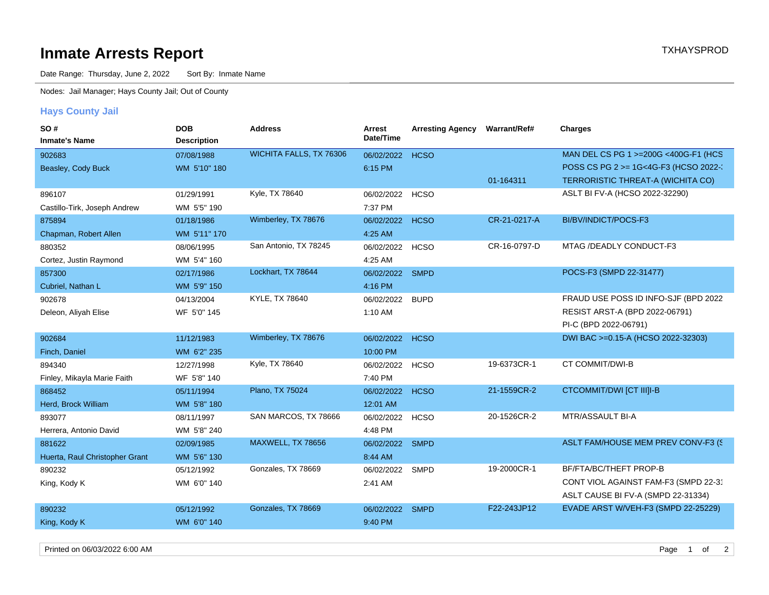## **Inmate Arrests Report TXHAYSPROD Inmate Arrests Report**

Date Range: Thursday, June 2, 2022 Sort By: Inmate Name

Nodes: Jail Manager; Hays County Jail; Out of County

## **Hays County Jail**

| SO#                            | <b>DOB</b>         | <b>Address</b>          | Arrest     | <b>Arresting Agency</b> | <b>Warrant/Ref#</b> | <b>Charges</b>                        |
|--------------------------------|--------------------|-------------------------|------------|-------------------------|---------------------|---------------------------------------|
| <b>Inmate's Name</b>           | <b>Description</b> |                         | Date/Time  |                         |                     |                                       |
| 902683                         | 07/08/1988         | WICHITA FALLS, TX 76306 | 06/02/2022 | <b>HCSO</b>             |                     | MAN DEL CS PG 1 >=200G <400G-F1 (HCS  |
| Beasley, Cody Buck             | WM 5'10" 180       |                         | 6:15 PM    |                         |                     | POSS CS PG 2 >= 1G<4G-F3 (HCSO 2022-  |
|                                |                    |                         |            |                         | 01-164311           | TERRORISTIC THREAT-A (WICHITA CO)     |
| 896107                         | 01/29/1991         | Kyle, TX 78640          | 06/02/2022 | <b>HCSO</b>             |                     | ASLT BI FV-A (HCSO 2022-32290)        |
| Castillo-Tirk, Joseph Andrew   | WM 5'5" 190        |                         | 7:37 PM    |                         |                     |                                       |
| 875894                         | 01/18/1986         | Wimberley, TX 78676     | 06/02/2022 | <b>HCSO</b>             | CR-21-0217-A        | BI/BV/INDICT/POCS-F3                  |
| Chapman, Robert Allen          | WM 5'11" 170       |                         | 4:25 AM    |                         |                     |                                       |
| 880352                         | 08/06/1995         | San Antonio, TX 78245   | 06/02/2022 | <b>HCSO</b>             | CR-16-0797-D        | MTAG /DEADLY CONDUCT-F3               |
| Cortez, Justin Raymond         | WM 5'4" 160        |                         | 4:25 AM    |                         |                     |                                       |
| 857300                         | 02/17/1986         | Lockhart, TX 78644      | 06/02/2022 | <b>SMPD</b>             |                     | POCS-F3 (SMPD 22-31477)               |
| Cubriel, Nathan L              | WM 5'9" 150        |                         | 4:16 PM    |                         |                     |                                       |
| 902678                         | 04/13/2004         | KYLE, TX 78640          | 06/02/2022 | <b>BUPD</b>             |                     | FRAUD USE POSS ID INFO-SJF (BPD 2022) |
| Deleon, Aliyah Elise           | WF 5'0" 145        |                         | 1:10 AM    |                         |                     | RESIST ARST-A (BPD 2022-06791)        |
|                                |                    |                         |            |                         |                     | PI-C (BPD 2022-06791)                 |
| 902684                         | 11/12/1983         | Wimberley, TX 78676     | 06/02/2022 | <b>HCSO</b>             |                     | DWI BAC >=0.15-A (HCSO 2022-32303)    |
| Finch, Daniel                  | WM 6'2" 235        |                         | 10:00 PM   |                         |                     |                                       |
| 894340                         | 12/27/1998         | Kyle, TX 78640          | 06/02/2022 | <b>HCSO</b>             | 19-6373CR-1         | CT COMMIT/DWI-B                       |
| Finley, Mikayla Marie Faith    | WF 5'8" 140        |                         | 7:40 PM    |                         |                     |                                       |
| 868452                         | 05/11/1994         | Plano, TX 75024         | 06/02/2022 | <b>HCSO</b>             | 21-1559CR-2         | CTCOMMIT/DWI [CT III]I-B              |
| Herd, Brock William            | WM 5'8" 180        |                         | 12:01 AM   |                         |                     |                                       |
| 893077                         | 08/11/1997         | SAN MARCOS, TX 78666    | 06/02/2022 | <b>HCSO</b>             | 20-1526CR-2         | MTR/ASSAULT BI-A                      |
| Herrera, Antonio David         | WM 5'8" 240        |                         | 4:48 PM    |                         |                     |                                       |
| 881622                         | 02/09/1985         | MAXWELL, TX 78656       | 06/02/2022 | <b>SMPD</b>             |                     | ASLT FAM/HOUSE MEM PREV CONV-F3 (S    |
| Huerta, Raul Christopher Grant | WM 5'6" 130        |                         | 8:44 AM    |                         |                     |                                       |
| 890232                         | 05/12/1992         | Gonzales, TX 78669      | 06/02/2022 | <b>SMPD</b>             | 19-2000CR-1         | BF/FTA/BC/THEFT PROP-B                |
| King, Kody K                   | WM 6'0" 140        |                         | 2:41 AM    |                         |                     | CONT VIOL AGAINST FAM-F3 (SMPD 22-31  |
|                                |                    |                         |            |                         |                     | ASLT CAUSE BI FV-A (SMPD 22-31334)    |
| 890232                         | 05/12/1992         | Gonzales, TX 78669      | 06/02/2022 | <b>SMPD</b>             | F22-243JP12         | EVADE ARST W/VEH-F3 (SMPD 22-25229)   |
| King, Kody K                   | WM 6'0" 140        |                         | 9:40 PM    |                         |                     |                                       |
|                                |                    |                         |            |                         |                     |                                       |